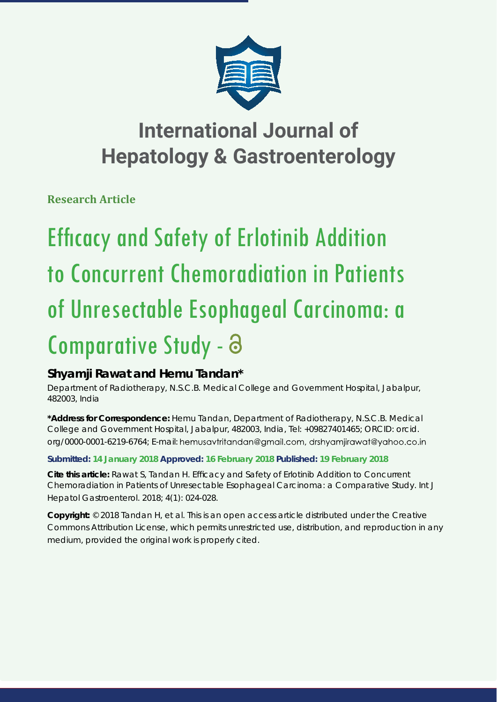

# **International Journal of Hepatology & Gastroenterology**

**Research Article**

# **Efficacy and Safety of Erlotinib Addition** to Concurrent Chemoradiation in Patients of Unresectable Esophageal Carcinoma: a Comparative Study -

## **Shyamji Rawat and Hemu Tandan\***

*Department of Radiotherapy, N.S.C.B. Medical College and Government Hospital, Jabalpur, 482003, India*

**\*Address for Correspondence:** Hemu Tandan, Department of Radiotherapy, N.S.C.B. Medical College and Government Hospital, Jabalpur, 482003, India, Tel: +09827401465; ORCID: orcid. org/0000-0001-6219-6764; E-mail: hemusavtritandan@gmail.com, drshyamjirawat@yahoo.co.in

### **Submitted: 14 January 2018 Approved: 16 February 2018 Published: 19 February 2018**

**Cite this article:** Rawat S, Tandan H. Efficacy and Safety of Erlotinib Addition to Concurrent Chemoradiation in Patients of Unresectable Esophageal Carcinoma: a Comparative Study. Int J Hepatol Gastroenterol. 2018; 4(1): 024-028.

**Copyright:** © 2018 Tandan H, et al. This is an open access article distributed under the Creative Commons Attribution License, which permits unrestricted use, distribution, and reproduction in any medium, provided the original work is properly cited.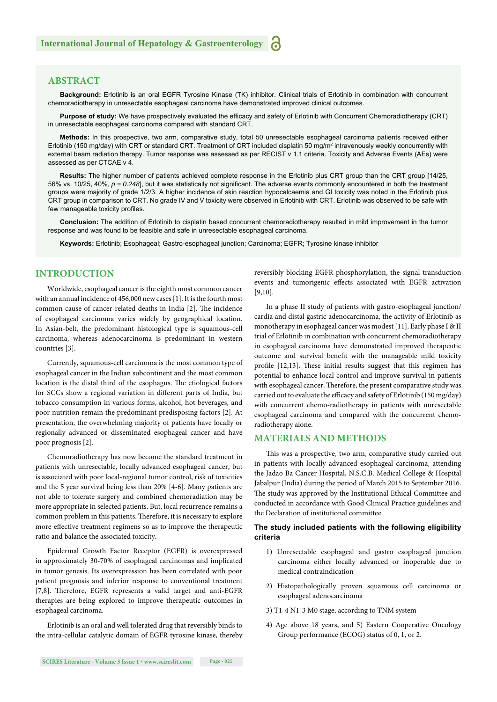#### **ABSTRACT**

**Background:** Erlotinib is an oral EGFR Tyrosine Kinase (TK) inhibitor. Clinical trials of Erlotinib in combination with concurrent chemoradiotherapy in unresectable esophageal carcinoma have demonstrated improved clinical outcomes.

Purpose of study: We have prospectively evaluated the efficacy and safety of Erlotinib with Concurrent Chemoradiotherapy (CRT) in unresectable esophageal carcinoma compared with standard CRT.

**Methods:** In this prospective, two arm, comparative study, total 50 unresectable esophageal carcinoma patients received either Erlotinib (150 mg/day) with CRT or standard CRT. Treatment of CRT included cisplatin 50 mg/m<sup>2</sup> intravenously weekly concurrently with external beam radiation therapy. Tumor response was assessed as per RECIST v 1.1 criteria. Toxicity and Adverse Events (AEs) were assessed as per CTCAE v 4.

**Results:** The higher number of patients achieved complete response in the Erlotinib plus CRT group than the CRT group [14/25, 56% vs. 10/25, 40%,  $p = 0.248$ ], but it was statistically not significant. The adverse events commonly encountered in both the treatment groups were majority of grade 1/2/3. A higher incidence of skin reaction hypocalcaemia and GI toxicity was noted in the Erlotinib plus CRT group in comparison to CRT. No grade IV and V toxicity were observed in Erlotinib with CRT. Erlotinib was observed to be safe with few manageable toxicity profiles.

**Conclusion:** The addition of Erlotinib to cisplatin based concurrent chemoradiotherapy resulted in mild improvement in the tumor response and was found to be feasible and safe in unresectable esophageal carcinoma.

**Keywords:** Erlotinib; Esophageal; Gastro-esophageal junction; Carcinoma; EGFR; Tyrosine kinase inhibitor

#### **INTRODUCTION**

Worldwide, esophageal cancer is the eighth most common cancer with an annual incidence of 456,000 new cases [1]. It is the fourth most common cause of cancer-related deaths in India [2]. The incidence of esophageal carcinoma varies widely by geographical location. In Asian-belt, the predominant histological type is squamous-cell carcinoma, whereas adenocarcinoma is predominant in western countries [3].

Currently, squamous-cell carcinoma is the most common type of esophageal cancer in the Indian subcontinent and the most common location is the distal third of the esophagus. The etiological factors for SCCs show a regional variation in different parts of India, but tobacco consumption in various forms, alcohol, hot beverages, and poor nutrition remain the predominant predisposing factors [2]. At presentation, the overwhelming majority of patients have locally or regionally advanced or disseminated esophageal cancer and have poor prognosis [2].

Chemoradiotherapy has now become the standard treatment in patients with unresectable, locally advanced esophageal cancer, but is associated with poor local-regional tumor control, risk of toxicities and the 5 year survival being less than 20% [4-6]. Many patients are not able to tolerate surgery and combined chemoradiation may be more appropriate in selected patients. But, local recurrence remains a common problem in this patients. Therefore, it is necessary to explore more effective treatment regimens so as to improve the therapeutic ratio and balance the associated toxicity.

Epidermal Growth Factor Receptor (EGFR) is overexpressed in approximately 30-70% of esophageal carcinomas and implicated in tumor genesis. Its overexpression has been correlated with poor patient prognosis and inferior response to conventional treatment [7,8]. Therefore, EGFR represents a valid target and anti-EGFR therapies are being explored to improve therapeutic outcomes in esophageal carcinoma.

Erlotinib is an oral and well tolerated drug that reversibly binds to the intra-cellular catalytic domain of EGFR tyrosine kinase, thereby reversibly blocking EGFR phosphorylation, the signal transduction events and tumorigenic effects associated with EGFR activation [9,10].

In a phase II study of patients with gastro-esophageal junction/ cardia and distal gastric adenocarcinoma, the activity of Erlotinib as monotherapy in esophageal cancer was modest [11]. Early phase I & II trial of Erlotinib in combination with concurrent chemoradiotherapy in esophageal carcinoma have demonstrated improved therapeutic outcome and survival benefit with the manageable mild toxicity profile [12,13]. These initial results suggest that this regimen has potential to enhance local control and improve survival in patients with esophageal cancer. Therefore, the present comparative study was carried out to evaluate the efficacy and safety of Erlotinib (150 mg/day) with concurrent chemo-radiotherapy in patients with unresectable esophageal carcinoma and compared with the concurrent chemoradiotherapy alone.

#### **MATERIALS AND METHODS**

This was a prospective, two arm, comparative study carried out in patients with locally advanced esophageal carcinoma, attending the Jadao Ba Cancer Hospital, N.S.C.B. Medical College & Hospital Jabalpur (India) during the period of March 2015 to September 2016. The study was approved by the Institutional Ethical Committee and conducted in accordance with Good Clinical Practice guidelines and the Declaration of institutional committee.

#### **The study included patients with the following eligibility criteria**

- 1) Unresectable esophageal and gastro esophageal junction carcinoma either locally advanced or inoperable due to medical contraindication
- 2) Histopathologically proven squamous cell carcinoma or esophageal adenocarcinoma
- 3) T1-4 N1-3 M0 stage, according to TNM system
- 4) Age above 18 years, and 5) Eastern Cooperative Oncology Group performance (ECOG) status of 0, 1, or 2.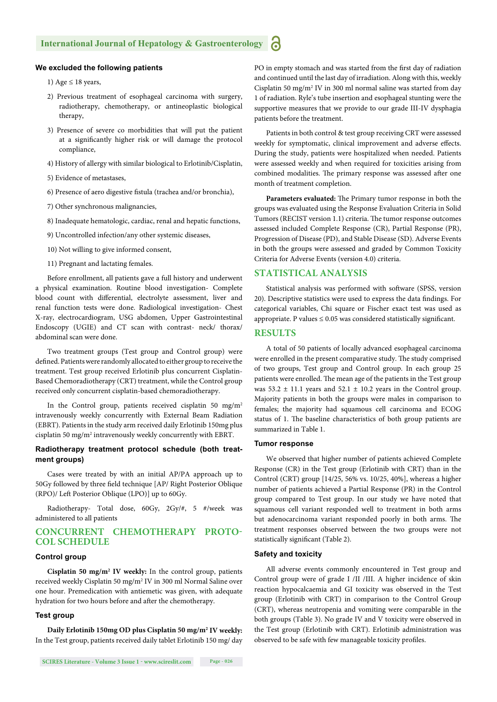#### **We excluded the following patients**

- 1) Age  $\leq$  18 years,
- 2) Previous treatment of esophageal carcinoma with surgery, radiotherapy, chemotherapy, or antineoplastic biological therapy,
- 3) Presence of severe co morbidities that will put the patient at a significantly higher risk or will damage the protocol compliance,
- 4) History of allergy with similar biological to Erlotinib/Cisplatin,
- 5) Evidence of metastases,
- 6) Presence of aero digestive fistula (trachea and/or bronchia),
- 7) Other synchronous malignancies,
- 8) Inadequate hematologic, cardiac, renal and hepatic functions,
- 9) Uncontrolled infection/any other systemic diseases,
- 10) Not willing to give informed consent,
- 11) Pregnant and lactating females.

Before enrollment, all patients gave a full history and underwent a physical examination. Routine blood investigation- Complete blood count with differential, electrolyte assessment, liver and renal function tests were done. Radiological investigation- Chest X-ray, electrocardiogram, USG abdomen, Upper Gastrointestinal Endoscopy (UGIE) and CT scan with contrast- neck/ thorax/ abdominal scan were done.

Two treatment groups (Test group and Control group) were defined. Patients were randomly allocated to either group to receive the treatment. Test group received Erlotinib plus concurrent Cisplatin-Based Chemoradiotherapy (CRT) treatment, while the Control group received only concurrent cisplatin-based chemoradiotherapy.

In the Control group, patients received cisplatin 50 mg/m2 intravenously weekly concurrently with External Beam Radiation (EBRT). Patients in the study arm received daily Erlotinib 150mg plus cisplatin 50 mg/m<sup>2</sup> intravenously weekly concurrently with EBRT.

#### **Radiotherapy treatment protocol schedule (both treatment groups)**

Cases were treated by with an initial AP/PA approach up to 50Gy followed by three field technique [AP/ Right Posterior Oblique (RPO)/ Left Posterior Oblique (LPO)] up to 60Gy.

Radiotherapy- Total dose, 60Gy, 2Gy/#, 5 #/week was administered to all patients

#### **CONCURRENT CHEMOTHERAPY PROTO-COL SCHEDULE**

#### **Control group**

**Cisplatin 50 mg/m2 IV weekly:** In the control group, patients received weekly Cisplatin 50 mg/m<sup>2</sup> IV in 300 ml Normal Saline over one hour. Premedication with antiemetic was given, with adequate hydration for two hours before and after the chemotherapy.

#### **Test group**

**Daily Erlotinib 150mg OD plus Cisplatin 50 mg/m2 IV weekly:**  In the Test group, patients received daily tablet Erlotinib 150 mg/ day PO in empty stomach and was started from the first day of radiation and continued until the last day of irradiation. Along with this, weekly Cisplatin 50 mg/m<sup>2</sup> IV in 300 ml normal saline was started from day 1 of radiation. Ryle's tube insertion and esophageal stunting were the supportive measures that we provide to our grade III-IV dysphagia patients before the treatment.

Patients in both control & test group receiving CRT were assessed weekly for symptomatic, clinical improvement and adverse effects. During the study, patients were hospitalized when needed. Patients were assessed weekly and when required for toxicities arising from combined modalities. The primary response was assessed after one month of treatment completion.

Parameters evaluated: The Primary tumor response in both the groups was evaluated using the Response Evaluation Criteria in Solid Tumors (RECIST version 1.1) criteria. The tumor response outcomes assessed included Complete Response (CR), Partial Response (PR), Progression of Disease (PD), and Stable Disease (SD). Adverse Events in both the groups were assessed and graded by Common Toxicity Criteria for Adverse Events (version 4.0) criteria.

#### **STATISTICAL ANALYSIS**

Statistical analysis was performed with software (SPSS, version 20). Descriptive statistics were used to express the data findings. For categorical variables, Chi square or Fischer exact test was used as appropriate. P values  $\leq 0.05$  was considered statistically significant.

#### **RESULTS**

A total of 50 patients of locally advanced esophageal carcinoma were enrolled in the present comparative study. The study comprised of two groups, Test group and Control group. In each group 25 patients were enrolled. The mean age of the patients in the Test group was  $53.2 \pm 11.1$  years and  $52.1 \pm 10.2$  years in the Control group. Majority patients in both the groups were males in comparison to females; the majority had squamous cell carcinoma and ECOG status of 1. The baseline characteristics of both group patients are summarized in Table 1.

#### **Tumor response**

We observed that higher number of patients achieved Complete Response (CR) in the Test group (Erlotinib with CRT) than in the Control (CRT) group [14/25, 56% vs. 10/25, 40%], whereas a higher number of patients achieved a Partial Response (PR) in the Control group compared to Test group. In our study we have noted that squamous cell variant responded well to treatment in both arms but adenocarcinoma variant responded poorly in both arms. The treatment responses observed between the two groups were not statistically significant (Table 2).

#### **Safety and toxicity**

All adverse events commonly encountered in Test group and Control group were of grade I /II /III. A higher incidence of skin reaction hypocalcaemia and GI toxicity was observed in the Test group (Erlotinib with CRT) in comparison to the Control Group (CRT), whereas neutropenia and vomiting were comparable in the both groups (Table 3). No grade IV and V toxicity were observed in the Test group (Erlotinib with CRT). Erlotinib administration was observed to be safe with few manageable toxicity profiles.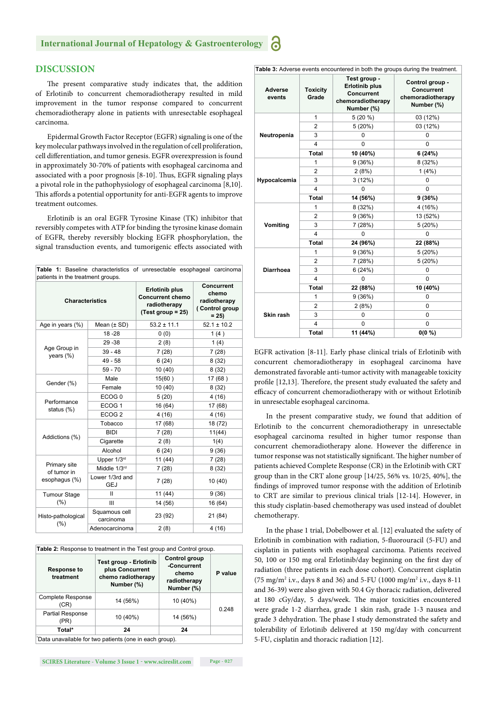#### **DISCUSSION**

The present comparative study indicates that, the addition of Erlotinib to concurrent chemoradiotherapy resulted in mild improvement in the tumor response compared to concurrent chemoradiotherapy alone in patients with unresectable esophageal carcinoma.

Epidermal Growth Factor Receptor (EGFR) signaling is one of the key molecular pathways involved in the regulation of cell proliferation, cell differentiation, and tumor genesis. EGFR overexpression is found in approximately 30-70% of patients with esophageal carcinoma and associated with a poor prognosis [8-10]. Thus, EGFR signaling plays a pivotal role in the pathophysiology of esophageal carcinoma [8,10]. This affords a potential opportunity for anti-EGFR agents to improve treatment outcomes.

Erlotinib is an oral EGFR Tyrosine Kinase (TK) inhibitor that reversibly competes with ATP for binding the tyrosine kinase domain of EGFR, thereby reversibly blocking EGFR phosphorylation, the signal transduction events, and tumorigenic effects associated with

| patients in the treatment groups. |                               | Table 1: Baseline characteristics of unresectable esophageal carcinoma                  |                                                                        |  |
|-----------------------------------|-------------------------------|-----------------------------------------------------------------------------------------|------------------------------------------------------------------------|--|
| <b>Characteristics</b>            |                               | <b>Erlotinib plus</b><br><b>Concurrent chemo</b><br>radiotherapy<br>$(Test group = 25)$ | <b>Concurrent</b><br>chemo<br>radiotherapy<br>(Control group<br>$= 25$ |  |
| Age in years $(\%)$               | Mean $(\pm SD)$               | $53.2 \pm 11.1$                                                                         | $52.1 \pm 10.2$                                                        |  |
|                                   | $18 - 28$                     | 0(0)                                                                                    | 1(4)                                                                   |  |
|                                   | $29 - 38$                     | 2(8)                                                                                    | 1(4)                                                                   |  |
| Age Group in<br>years (%)         | $39 - 48$                     | 7(28)                                                                                   | 7(28)                                                                  |  |
|                                   | $49 - 58$                     | 6(24)                                                                                   | 8(32)                                                                  |  |
|                                   | $59 - 70$                     | 10 (40)                                                                                 | 8(32)                                                                  |  |
|                                   | Male                          | 15(60)                                                                                  | 17 (68)                                                                |  |
| Gender (%)                        | Female                        | 10(40)                                                                                  | 8(32)                                                                  |  |
|                                   | ECOG <sub>0</sub>             | 5(20)                                                                                   | 4(16)                                                                  |  |
| Performance<br>status $(\%)$      | ECOG <sub>1</sub>             | 16 (64)                                                                                 | 17 (68)                                                                |  |
|                                   | ECOG <sub>2</sub>             | 4(16)                                                                                   | 4(16)                                                                  |  |
|                                   | Tobacco                       | 17 (68)                                                                                 |                                                                        |  |
| Addictions (%)                    | <b>BIDI</b><br>7(28)          |                                                                                         | 11(44)                                                                 |  |
|                                   | Cigarette                     | 2(8)                                                                                    | 1(4)                                                                   |  |
|                                   | Alcohol                       | 6(24)                                                                                   | 9(36)                                                                  |  |
|                                   | Upper 1/3rd                   | 11 (44)                                                                                 | 7(28)                                                                  |  |
| Primary site<br>of tumor in       | Middle 1/3rd                  | 7(28)                                                                                   | 8(32)                                                                  |  |
| esophagus (%)                     | Lower 1/3rd and<br><b>GEJ</b> | 7(28)                                                                                   | 10(40)                                                                 |  |
| <b>Tumour Stage</b>               | Ш                             | 11(44)                                                                                  | 9(36)                                                                  |  |
| $(\% )$                           | Ш                             | 14 (56)                                                                                 | 16 (64)                                                                |  |
| Histo-pathological<br>(%)         | Squamous cell<br>carcinoma    | 23 (92)                                                                                 | 21 (84)                                                                |  |
|                                   | Adenocarcinoma                | 2(8)                                                                                    | 4(16)                                                                  |  |

| Table 2: Response to treatment in the Test group and Control group. |  |  |
|---------------------------------------------------------------------|--|--|
|                                                                     |  |  |

| <b>Response to</b><br>treatment | <b>Test group - Erlotinib</b><br>plus Concurrent<br>chemo radiotherapy<br>Number (%) | Control group<br>-Concurrent<br>chemo<br>radiotherapy<br>Number (%) | P value |  |
|---------------------------------|--------------------------------------------------------------------------------------|---------------------------------------------------------------------|---------|--|
| Complete Response<br>(CR)       | 14 (56%)                                                                             | 10 (40%)                                                            |         |  |
| Partial Response<br>(PR)        | 10 (40%)                                                                             | 14 (56%)                                                            | 0.248   |  |
| Total*                          | 24                                                                                   | 24                                                                  |         |  |
|                                 |                                                                                      |                                                                     |         |  |

'Data unavailable for two patients (one in each group).

| Table 3: Adverse events encountered in both the groups during the treatment. |                          |                                                                                        |                                                                         |  |
|------------------------------------------------------------------------------|--------------------------|----------------------------------------------------------------------------------------|-------------------------------------------------------------------------|--|
| <b>Adverse</b><br>events                                                     | <b>Toxicity</b><br>Grade | Test group -<br><b>Erlotinib plus</b><br>Concurrent<br>chemoradiotherapy<br>Number (%) | Control group -<br><b>Concurrent</b><br>chemoradiotherapy<br>Number (%) |  |
|                                                                              | 1                        | $5(20\%)$                                                                              | 03 (12%)                                                                |  |
|                                                                              | $\overline{2}$           | 5(20%)                                                                                 | 03 (12%)                                                                |  |
| Neutropenia                                                                  | 3                        | 0                                                                                      | 0                                                                       |  |
|                                                                              | 4                        | 0                                                                                      | $\Omega$                                                                |  |
|                                                                              | <b>Total</b>             | 10 (40%)                                                                               | 6(24%)                                                                  |  |
|                                                                              | 1                        | 9(36%)                                                                                 | 8 (32%)                                                                 |  |
|                                                                              | $\overline{2}$           | 2(8%)                                                                                  | 1(4%)                                                                   |  |
| Hypocalcemia                                                                 | 3                        | 3(12%)                                                                                 | 0                                                                       |  |
|                                                                              | 4                        | 0                                                                                      | $\Omega$                                                                |  |
|                                                                              | <b>Total</b>             | 14 (56%)                                                                               | 9(36%)                                                                  |  |
|                                                                              | 1                        | 8 (32%)                                                                                | 4 (16%)                                                                 |  |
|                                                                              | $\overline{2}$           | 9(36%)                                                                                 | 13 (52%)                                                                |  |
| <b>Vomiting</b>                                                              | 3                        | 7(28%)                                                                                 | 5(20%)                                                                  |  |
|                                                                              | 4                        | 0                                                                                      | 0                                                                       |  |
|                                                                              | <b>Total</b>             | 24 (96%)                                                                               | 22 (88%)                                                                |  |
|                                                                              | 1                        | 9(36%)                                                                                 | 5(20%)                                                                  |  |
|                                                                              | $\overline{2}$           | 7(28%)                                                                                 | 5(20%)                                                                  |  |
| <b>Diarrhoea</b>                                                             | 3                        | 6(24%)                                                                                 | 0                                                                       |  |
|                                                                              | 4                        | 0                                                                                      | 0                                                                       |  |
|                                                                              | <b>Total</b>             | 22 (88%)                                                                               | 10 (40%)                                                                |  |
|                                                                              | 1                        | 9(36%)                                                                                 | 0                                                                       |  |
|                                                                              | $\overline{2}$           | 2(8%)                                                                                  | $\Omega$                                                                |  |
| Skin rash                                                                    | 3                        | 0                                                                                      | $\Omega$                                                                |  |
|                                                                              | 4                        | 0                                                                                      | 0                                                                       |  |
|                                                                              | <b>Total</b>             | 11 (44%)                                                                               | $0(0\% )$                                                               |  |

EGFR activation [8-11]. Early phase clinical trials of Erlotinib with concurrent chemoradiotherapy in esophageal carcinoma have demonstrated favorable anti-tumor activity with manageable toxicity profile [12,13]. Therefore, the present study evaluated the safety and efficacy of concurrent chemoradiotherapy with or without Erlotinib in unresectable esophageal carcinoma.

In the present comparative study, we found that addition of Erlotinib to the concurrent chemoradiotherapy in unresectable esophageal carcinoma resulted in higher tumor response than concurrent chemoradiotherapy alone. However the difference in tumor response was not statistically significant. The higher number of patients achieved Complete Response (CR) in the Erlotinib with CRT group than in the CRT alone group [14/25, 56% vs. 10/25, 40%], the findings of improved tumor response with the addition of Erlotinib to CRT are similar to previous clinical trials [12-14]. However, in this study cisplatin-based chemotherapy was used instead of doublet chemotherapy.

In the phase 1 trial, Dobelbower et al. [12] evaluated the safety of Erlotinib in combination with radiation, 5-fluorouracil (5-FU) and cisplatin in patients with esophageal carcinoma. Patients received 50, 100 or 150 mg oral Erlotinib/day beginning on the first day of radiation (three patients in each dose cohort). Concurrent cisplatin (75 mg/m2 i.v., days 8 and 36) and 5-FU (1000 mg/m2 i.v., days 8-11 and 36-39) were also given with 50.4 Gy thoracic radiation, delivered at 180 cGy/day, 5 days/week. The major toxicities encountered were grade 1-2 diarrhea, grade 1 skin rash, grade 1-3 nausea and grade 3 dehydration. The phase I study demonstrated the safety and tolerability of Erlotinib delivered at 150 mg/day with concurrent 5-FU, cisplatin and thoracic radiation [12].